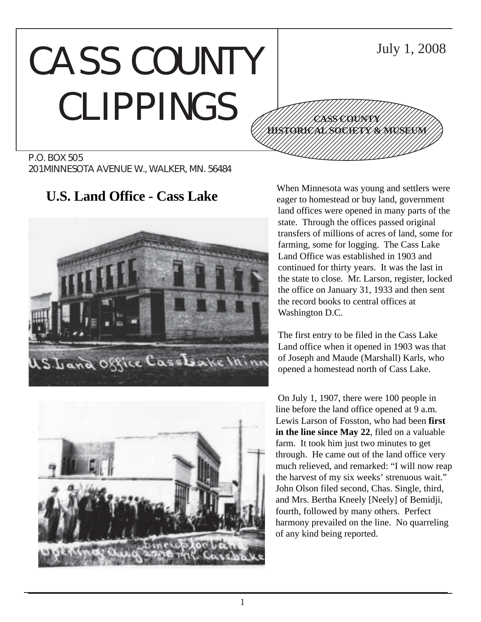# CASS COUNTY CLIPPINGS









**U.S. Land Office - Cass Lake** When Minnesota was young and settlers were eager to homestead or buy land, government land offices were opened in many parts of the state. Through the offices passed original transfers of millions of acres of land, some for farming, some for logging. The Cass Lake Land Office was established in 1903 and continued for thirty years. It was the last in the state to close. Mr. Larson, register, locked the office on January 31, 1933 and then sent the record books to central offices at Washington D.C.

> The first entry to be filed in the Cass Lake Land office when it opened in 1903 was that of Joseph and Maude (Marshall) Karls, who opened a homestead north of Cass Lake.

On July 1, 1907, there were 100 people in line before the land office opened at 9 a.m. Lewis Larson of Fosston, who had been **first in the line since May 22**, filed on a valuable farm. It took him just two minutes to get through. He came out of the land office very much relieved, and remarked: "I will now reap the harvest of my six weeks' strenuous wait." John Olson filed second, Chas. Single, third, and Mrs. Bertha Kneely [Neely] of Bemidji, fourth, followed by many others. Perfect harmony prevailed on the line. No quarreling of any kind being reported.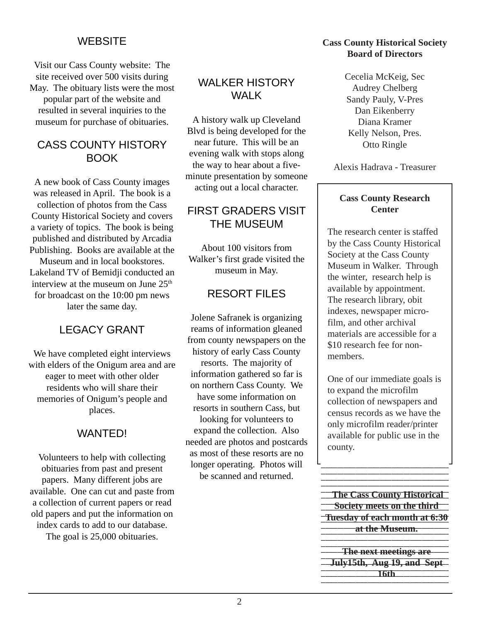# **WEBSITE**

Visit our Cass County website: The site received over 500 visits during May. The obituary lists were the most popular part of the website and resulted in several inquiries to the museum for purchase of obituaries.

# CASS COUNTY HISTORY BOOK

A new book of Cass County images was released in April. The book is a collection of photos from the Cass County Historical Society and covers a variety of topics. The book is being published and distributed by Arcadia Publishing. Books are available at the

Museum and in local bookstores. Lakeland TV of Bemidji conducted an interview at the museum on June  $25<sup>th</sup>$ for broadcast on the 10:00 pm news later the same day.

# LEGACY GRANT

We have completed eight interviews with elders of the Onigum area and are eager to meet with other older residents who will share their memories of Onigum's people and places.

# WANTED!

Volunteers to help with collecting obituaries from past and present papers. Many different jobs are available. One can cut and paste from a collection of current papers or read old papers and put the information on index cards to add to our database.

The goal is 25,000 obituaries.

# WALKER HISTORY WALK

A history walk up Cleveland Blvd is being developed for the near future. This will be an evening walk with stops along the way to hear about a fiveminute presentation by someone acting out a local character.

# FIRST GRADERS VISIT THE MUSEUM

About 100 visitors from Walker's first grade visited the museum in May.

# RESORT FILES

Jolene Safranek is organizing reams of information gleaned from county newspapers on the history of early Cass County resorts. The majority of information gathered so far is on northern Cass County. We have some information on resorts in southern Cass, but looking for volunteers to expand the collection. Also needed are photos and postcards as most of these resorts are no longer operating. Photos will be scanned and returned.

## **Cass County Historical Society Board of Directors**

Cecelia McKeig, Sec Audrey Chelberg Sandy Pauly, V-Pres Dan Eikenberry Diana Kramer Kelly Nelson, Pres. Otto Ringle

Alexis Hadrava - Treasurer

# **Cass County Research Center**

The research center is staffed by the Cass County Historical Society at the Cass County Museum in Walker. Through the winter, research help is available by appointment. The research library, obit indexes, newspaper microfilm, and other archival materials are accessible for a \$10 research fee for nonmembers.

One of our immediate goals is to expand the microfilm collection of newspapers and census records as we have the only microfilm reader/printer available for public use in the county.

123456789012345678901234567890123456789012345678901234567890123456789012345678901

**The Cass County Historical 12356 Society meets on the third Tuesday of each month at 6:30 12345 at the Museum.** The Museum. **1234567912 The next meetings are** 1234567890123456789012 **July15th, Aug 19, and Sept** 

12345678912345678912345678912345678912345678912345678912345678912345678912345678

**16th**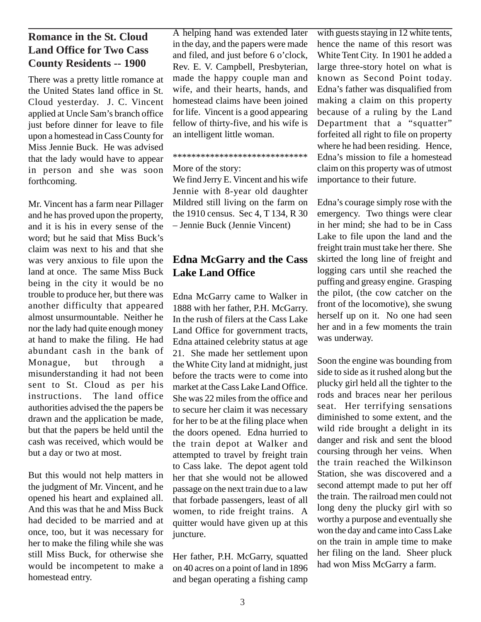# **Romance in the St. Cloud Land Office for Two Cass County Residents -- 1900**

There was a pretty little romance at the United States land office in St. Cloud yesterday. J. C. Vincent applied at Uncle Sam's branch office just before dinner for leave to file upon a homestead in Cass County for Miss Jennie Buck. He was advised that the lady would have to appear in person and she was soon forthcoming.

Mr. Vincent has a farm near Pillager and he has proved upon the property, and it is his in every sense of the word; but he said that Miss Buck's claim was next to his and that she was very anxious to file upon the land at once. The same Miss Buck being in the city it would be no trouble to produce her, but there was another difficulty that appeared almost unsurmountable. Neither he nor the lady had quite enough money at hand to make the filing. He had abundant cash in the bank of Monague, but through a misunderstanding it had not been sent to St. Cloud as per his instructions. The land office authorities advised the the papers be drawn and the application be made, but that the papers be held until the cash was received, which would be but a day or two at most.

But this would not help matters in the judgment of Mr. Vincent, and he opened his heart and explained all. And this was that he and Miss Buck had decided to be married and at once, too, but it was necessary for her to make the filing while she was still Miss Buck, for otherwise she would be incompetent to make a homestead entry.

A helping hand was extended later in the day, and the papers were made and filed, and just before 6 o'clock, Rev. E. V. Campbell, Presbyterian, made the happy couple man and wife, and their hearts, hands, and homestead claims have been joined for life. Vincent is a good appearing fellow of thirty-five, and his wife is an intelligent little woman.

#### \*\*\*\*\*\*\*\*\*\*\*\*\*\*\*\*\*\*\*\*\*\*\*\*\*\*\*\*\*

#### More of the story:

We find Jerry E. Vincent and his wife Jennie with 8-year old daughter Mildred still living on the farm on the 1910 census. Sec 4, T 134, R 30 – Jennie Buck (Jennie Vincent)

# **Edna McGarry and the Cass Lake Land Office**

Edna McGarry came to Walker in 1888 with her father, P.H. McGarry. In the rush of filers at the Cass Lake Land Office for government tracts, Edna attained celebrity status at age 21. She made her settlement upon the White City land at midnight, just before the tracts were to come into market at the Cass Lake Land Office. She was 22 miles from the office and to secure her claim it was necessary for her to be at the filing place when the doors opened. Edna hurried to the train depot at Walker and attempted to travel by freight train to Cass lake. The depot agent told her that she would not be allowed passage on the next train due to a law that forbade passengers, least of all women, to ride freight trains. A quitter would have given up at this juncture.

Her father, P.H. McGarry, squatted on 40 acres on a point of land in 1896 and began operating a fishing camp with guests staying in 12 white tents, hence the name of this resort was White Tent City. In 1901 he added a large three-story hotel on what is known as Second Point today. Edna's father was disqualified from making a claim on this property because of a ruling by the Land Department that a "squatter" forfeited all right to file on property where he had been residing. Hence, Edna's mission to file a homestead claim on this property was of utmost importance to their future.

Edna's courage simply rose with the emergency. Two things were clear in her mind; she had to be in Cass Lake to file upon the land and the freight train must take her there. She skirted the long line of freight and logging cars until she reached the puffing and greasy engine. Grasping the pilot, (the cow catcher on the front of the locomotive), she swung herself up on it. No one had seen her and in a few moments the train was underway.

Soon the engine was bounding from side to side as it rushed along but the plucky girl held all the tighter to the rods and braces near her perilous seat. Her terrifying sensations diminished to some extent, and the wild ride brought a delight in its danger and risk and sent the blood coursing through her veins. When the train reached the Wilkinson Station, she was discovered and a second attempt made to put her off the train. The railroad men could not long deny the plucky girl with so worthy a purpose and eventually she won the day and came into Cass Lake on the train in ample time to make her filing on the land. Sheer pluck had won Miss McGarry a farm.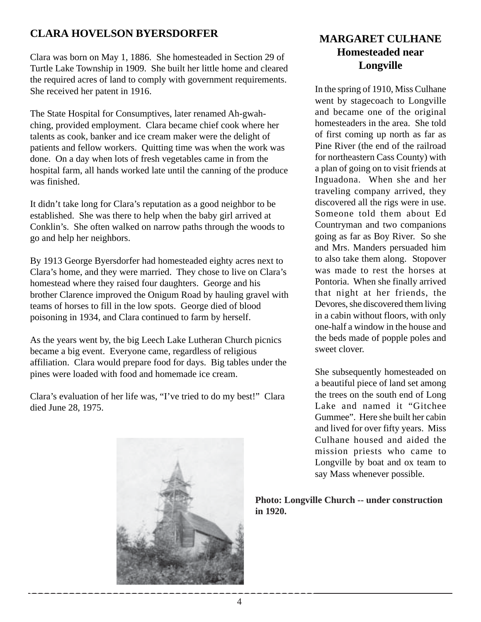# **CLARA HOVELSON BYERSDORFER**

Clara was born on May 1, 1886. She homesteaded in Section 29 of Turtle Lake Township in 1909. She built her little home and cleared the required acres of land to comply with government requirements. She received her patent in 1916.

The State Hospital for Consumptives, later renamed Ah-gwahching, provided employment. Clara became chief cook where her talents as cook, banker and ice cream maker were the delight of patients and fellow workers. Quitting time was when the work was done. On a day when lots of fresh vegetables came in from the hospital farm, all hands worked late until the canning of the produce was finished.

It didn't take long for Clara's reputation as a good neighbor to be established. She was there to help when the baby girl arrived at Conklin's. She often walked on narrow paths through the woods to go and help her neighbors.

By 1913 George Byersdorfer had homesteaded eighty acres next to Clara's home, and they were married. They chose to live on Clara's homestead where they raised four daughters. George and his brother Clarence improved the Onigum Road by hauling gravel with teams of horses to fill in the low spots. George died of blood poisoning in 1934, and Clara continued to farm by herself.

As the years went by, the big Leech Lake Lutheran Church picnics became a big event. Everyone came, regardless of religious affiliation. Clara would prepare food for days. Big tables under the pines were loaded with food and homemade ice cream.

Clara's evaluation of her life was, "I've tried to do my best!" Clara died June 28, 1975.



# **MARGARET CULHANE Homesteaded near Longville**

In the spring of 1910, Miss Culhane went by stagecoach to Longville and became one of the original homesteaders in the area. She told of first coming up north as far as Pine River (the end of the railroad for northeastern Cass County) with a plan of going on to visit friends at Inguadona. When she and her traveling company arrived, they discovered all the rigs were in use. Someone told them about Ed Countryman and two companions going as far as Boy River. So she and Mrs. Manders persuaded him to also take them along. Stopover was made to rest the horses at Pontoria. When she finally arrived that night at her friends, the Devores, she discovered them living in a cabin without floors, with only one-half a window in the house and the beds made of popple poles and sweet clover.

She subsequently homesteaded on a beautiful piece of land set among the trees on the south end of Long Lake and named it "Gitchee Gummee". Here she built her cabin and lived for over fifty years. Miss Culhane housed and aided the mission priests who came to Longville by boat and ox team to say Mass whenever possible.

**Photo: Longville Church -- under construction in 1920.**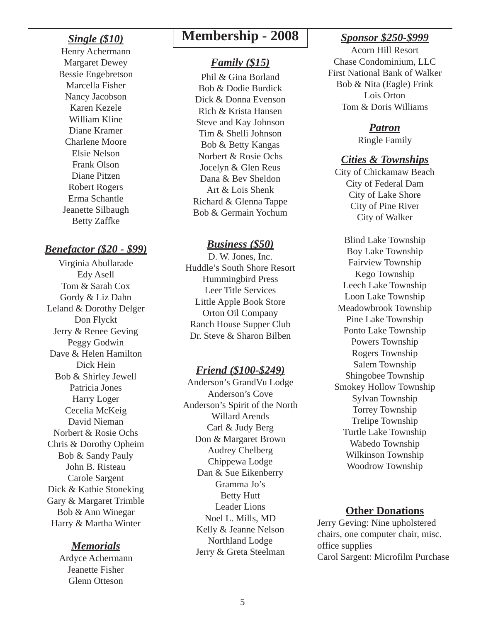# *Single (\$10)*

Henry Achermann Margaret Dewey Bessie Engebretson Marcella Fisher Nancy Jacobson Karen Kezele William Kline Diane Kramer Charlene Moore Elsie Nelson Frank Olson Diane Pitzen Robert Rogers Erma Schantle Jeanette Silbaugh Betty Zaffke

# *Benefactor (\$20 - \$99)*

Virginia Abullarade Edy Asell Tom & Sarah Cox Gordy & Liz Dahn Leland & Dorothy Delger Don Flyckt Jerry & Renee Geving Peggy Godwin Dave & Helen Hamilton Dick Hein Bob & Shirley Jewell Patricia Jones Harry Loger Cecelia McKeig David Nieman Norbert & Rosie Ochs Chris & Dorothy Opheim Bob & Sandy Pauly John B. Risteau Carole Sargent Dick & Kathie Stoneking Gary & Margaret Trimble Bob & Ann Winegar Harry & Martha Winter

# *Memorials*

Ardyce Achermann Jeanette Fisher Glenn Otteson

# **Membership - 2008** *Sponsor \$250-\$999*

# *Family (\$15)*

Phil & Gina Borland Bob & Dodie Burdick Dick & Donna Evenson Rich & Krista Hansen Steve and Kay Johnson Tim & Shelli Johnson Bob & Betty Kangas Norbert & Rosie Ochs Jocelyn & Glen Reus Dana & Bev Sheldon Art & Lois Shenk Richard & Glenna Tappe Bob & Germain Yochum

#### *Business (\$50)*

D. W. Jones, Inc. Huddle's South Shore Resort Hummingbird Press Leer Title Services Little Apple Book Store Orton Oil Company Ranch House Supper Club Dr. Steve & Sharon Bilben

#### *Friend (\$100-\$249)*

Anderson's GrandVu Lodge Anderson's Cove Anderson's Spirit of the North Willard Arends Carl & Judy Berg Don & Margaret Brown Audrey Chelberg Chippewa Lodge Dan & Sue Eikenberry Gramma Jo's Betty Hutt Leader Lions Noel L. Mills, MD Kelly & Jeanne Nelson Northland Lodge Jerry & Greta Steelman

Acorn Hill Resort Chase Condominium, LLC First National Bank of Walker Bob & Nita (Eagle) Frink Lois Orton Tom & Doris Williams

#### *Patron*

Ringle Family

## *Cities & Townships*

City of Chickamaw Beach City of Federal Dam City of Lake Shore City of Pine River City of Walker

Blind Lake Township Boy Lake Township Fairview Township Kego Township Leech Lake Township Loon Lake Township Meadowbrook Township Pine Lake Township Ponto Lake Township Powers Township Rogers Township Salem Township Shingobee Township Smokey Hollow Township Sylvan Township Torrey Township Trelipe Township Turtle Lake Township Wabedo Township Wilkinson Township Woodrow Township

# **Other Donations**

Jerry Geving: Nine upholstered chairs, one computer chair, misc. office supplies Carol Sargent: Microfilm Purchase